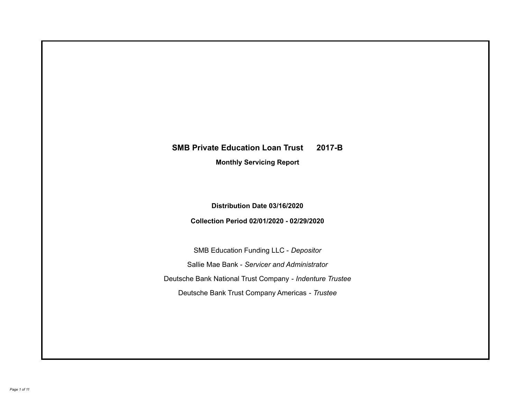# **SMB Private Education Loan Trust 2017-B Monthly Servicing Report**

**Distribution Date 03/16/2020**

**Collection Period 02/01/2020 - 02/29/2020**

SMB Education Funding LLC - *Depositor* Sallie Mae Bank - *Servicer and Administrator* Deutsche Bank National Trust Company - *Indenture Trustee* Deutsche Bank Trust Company Americas - *Trustee*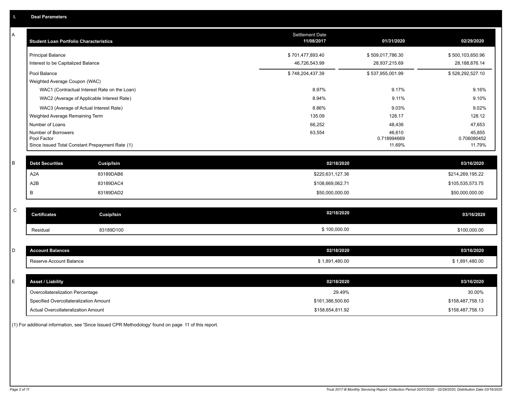| А           | <b>Student Loan Portfolio Characteristics</b>                  | <b>Settlement Date</b><br>11/08/2017 | 01/31/2020            | 02/29/2020            |
|-------------|----------------------------------------------------------------|--------------------------------------|-----------------------|-----------------------|
|             | <b>Principal Balance</b>                                       | \$701,477,893.40                     | \$509,017,786.30      | \$500,103,650.96      |
|             | Interest to be Capitalized Balance                             | 46,726,543.99                        | 28,937,215.69         | 28, 188, 876. 14      |
|             | Pool Balance                                                   | \$748,204,437.39                     | \$537,955,001.99      | \$528,292,527.10      |
|             | Weighted Average Coupon (WAC)                                  |                                      |                       |                       |
|             | WAC1 (Contractual Interest Rate on the Loan)                   | 8.97%                                | 9.17%                 | 9.16%                 |
|             | WAC2 (Average of Applicable Interest Rate)                     | 8.94%                                | 9.11%                 | 9.10%                 |
|             | WAC3 (Average of Actual Interest Rate)                         | 8.86%                                | 9.03%                 | 9.02%                 |
|             | Weighted Average Remaining Term                                | 135.09                               | 128.17                | 128.12                |
|             | Number of Loans                                                | 66,252                               | 48,436                | 47,653                |
|             | Number of Borrowers                                            | 63,554                               | 46,610                | 45,855                |
|             | Pool Factor<br>Since Issued Total Constant Prepayment Rate (1) |                                      | 0.718994669<br>11.69% | 0.706080452<br>11.79% |
|             |                                                                |                                      |                       |                       |
| B           | <b>Debt Securities</b><br><b>Cusip/Isin</b>                    | 02/18/2020                           |                       | 03/16/2020            |
|             | A2A<br>83189DAB6                                               | \$220,631,127.36                     |                       | \$214,269,195.22      |
|             | A2B<br>83189DAC4                                               | \$108,669,062.71                     |                       | \$105,535,573.75      |
|             | B<br>83189DAD2                                                 | \$50,000,000.00                      |                       | \$50,000,000.00       |
|             |                                                                |                                      |                       |                       |
| $\mathsf C$ | <b>Certificates</b><br>Cusip/Isin                              | 02/18/2020                           |                       | 03/16/2020            |
|             | 83189D100<br>Residual                                          | \$100,000.00                         |                       | \$100,000.00          |
|             |                                                                |                                      |                       |                       |
| D           | <b>Account Balances</b>                                        | 02/18/2020                           |                       | 03/16/2020            |
|             | Reserve Account Balance                                        | \$1,891,480.00                       |                       | \$1,891,480.00        |
|             |                                                                |                                      |                       |                       |
| E           | <b>Asset / Liability</b>                                       | 02/18/2020                           |                       | 03/16/2020            |
|             | Overcollateralization Percentage                               | 29.49%                               |                       | 30.00%                |
|             | Specified Overcollateralization Amount                         | \$161,386,500.60                     |                       | \$158,487,758.13      |
|             | Actual Overcollateralization Amount                            | \$158,654,811.92                     |                       | \$158,487,758.13      |

(1) For additional information, see 'Since Issued CPR Methodology' found on page 11 of this report.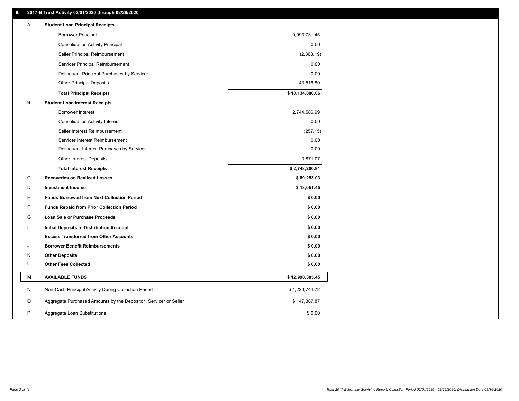### **II. 2017-B Trust Activity 02/01/2020 through 02/29/2020**

| Α | <b>Student Loan Principal Receipts</b>                           |                 |
|---|------------------------------------------------------------------|-----------------|
|   | <b>Borrower Principal</b>                                        | 9,993,731.45    |
|   | <b>Consolidation Activity Principal</b>                          | 0.00            |
|   | Seller Principal Reimbursement                                   | (2,368.19)      |
|   | Servicer Principal Reimbursement                                 | 0.00            |
|   | Delinquent Principal Purchases by Servicer                       | 0.00            |
|   | <b>Other Principal Deposits</b>                                  | 143,516.80      |
|   | <b>Total Principal Receipts</b>                                  | \$10,134,880.06 |
| в | <b>Student Loan Interest Receipts</b>                            |                 |
|   | <b>Borrower Interest</b>                                         | 2,744,586.99    |
|   | <b>Consolidation Activity Interest</b>                           | 0.00            |
|   | Seller Interest Reimbursement                                    | (257.15)        |
|   | Servicer Interest Reimbursement                                  | 0.00            |
|   | Delinquent Interest Purchases by Servicer                        | 0.00            |
|   | Other Interest Deposits                                          | 3,871.07        |
|   | <b>Total Interest Receipts</b>                                   | \$2,748,200.91  |
| C | <b>Recoveries on Realized Losses</b>                             | \$89,253.03     |
| D | <b>Investment Income</b>                                         | \$18,051.45     |
| Е | <b>Funds Borrowed from Next Collection Period</b>                | \$0.00          |
| F | <b>Funds Repaid from Prior Collection Period</b>                 | \$0.00          |
| G | Loan Sale or Purchase Proceeds                                   | \$0.00          |
| н | Initial Deposits to Distribution Account                         | \$0.00          |
|   | <b>Excess Transferred from Other Accounts</b>                    | \$0.00          |
| J | <b>Borrower Benefit Reimbursements</b>                           | \$0.00          |
| Κ | <b>Other Deposits</b>                                            | \$0.00          |
| L | <b>Other Fees Collected</b>                                      | \$0.00          |
| M | <b>AVAILABLE FUNDS</b>                                           | \$12,990,385.45 |
| N | Non-Cash Principal Activity During Collection Period             | \$1,220,744.72  |
| O | Aggregate Purchased Amounts by the Depositor, Servicer or Seller | \$147,387.87    |
| P | Aggregate Loan Substitutions                                     | \$0.00          |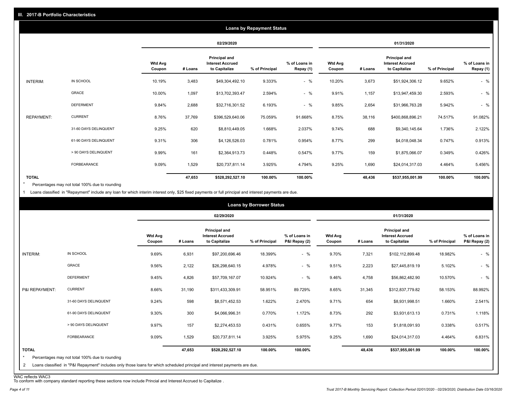| <b>Loans by Repayment Status</b> |                       |                          |            |                                                           |                |                            |                   |            |                                                                  |                |                            |
|----------------------------------|-----------------------|--------------------------|------------|-----------------------------------------------------------|----------------|----------------------------|-------------------|------------|------------------------------------------------------------------|----------------|----------------------------|
|                                  |                       |                          | 02/29/2020 |                                                           |                |                            |                   | 01/31/2020 |                                                                  |                |                            |
|                                  |                       | <b>Wtd Avg</b><br>Coupon | # Loans    | Principal and<br><b>Interest Accrued</b><br>to Capitalize | % of Principal | % of Loans in<br>Repay (1) | Wtd Avg<br>Coupon | # Loans    | <b>Principal and</b><br><b>Interest Accrued</b><br>to Capitalize | % of Principal | % of Loans in<br>Repay (1) |
| INTERIM:                         | IN SCHOOL             | 10.19%                   | 3,483      | \$49,304,492.10                                           | 9.333%         | $-$ %                      | 10.20%            | 3,673      | \$51,924,306.12                                                  | 9.652%         | $-$ %                      |
|                                  | GRACE                 | 10.00%                   | 1,097      | \$13,702,393.47                                           | 2.594%         | $-$ %                      | 9.91%             | 1,157      | \$13,947,459.30                                                  | 2.593%         | $-$ %                      |
|                                  | <b>DEFERMENT</b>      | 9.84%                    | 2,688      | \$32,716,301.52                                           | 6.193%         | $-$ %                      | 9.85%             | 2,654      | \$31,966,763.28                                                  | 5.942%         | $-$ %                      |
| <b>REPAYMENT:</b>                | <b>CURRENT</b>        | 8.76%                    | 37,769     | \$396,529,640.06                                          | 75.059%        | 91.668%                    | 8.75%             | 38,116     | \$400,868,896.21                                                 | 74.517%        | 91.082%                    |
|                                  | 31-60 DAYS DELINQUENT | 9.25%                    | 620        | \$8,810,449.05                                            | 1.668%         | 2.037%                     | 9.74%             | 688        | \$9,340,145.64                                                   | 1.736%         | 2.122%                     |
|                                  | 61-90 DAYS DELINQUENT | 9.31%                    | 306        | \$4,126,526.03                                            | 0.781%         | 0.954%                     | 8.77%             | 299        | \$4,018,048.34                                                   | 0.747%         | 0.913%                     |
|                                  | > 90 DAYS DELINQUENT  | 9.99%                    | 161        | \$2,364,913.73                                            | 0.448%         | 0.547%                     | 9.77%             | 159        | \$1,875,066.07                                                   | 0.349%         | 0.426%                     |
|                                  | FORBEARANCE           | 9.09%                    | 1,529      | \$20,737,811.14                                           | 3.925%         | 4.794%                     | 9.25%             | 1,690      | \$24,014,317.03                                                  | 4.464%         | 5.456%                     |
| <b>TOTAL</b>                     |                       |                          | 47,653     | \$528,292,527.10                                          | 100.00%        | 100.00%                    |                   | 48,436     | \$537,955,001.99                                                 | 100.00%        | 100.00%                    |

Percentages may not total 100% due to rounding \*

1 Loans classified in "Repayment" include any loan for which interim interest only, \$25 fixed payments or full principal and interest payments are due.

|                              |                                                                                                                                                                              |                          |            |                                                                  | <b>Loans by Borrower Status</b> |                                |                          |         |                                                                  |                |                                |
|------------------------------|------------------------------------------------------------------------------------------------------------------------------------------------------------------------------|--------------------------|------------|------------------------------------------------------------------|---------------------------------|--------------------------------|--------------------------|---------|------------------------------------------------------------------|----------------|--------------------------------|
|                              |                                                                                                                                                                              |                          | 02/29/2020 |                                                                  |                                 |                                | 01/31/2020               |         |                                                                  |                |                                |
|                              |                                                                                                                                                                              | <b>Wtd Avg</b><br>Coupon | # Loans    | <b>Principal and</b><br><b>Interest Accrued</b><br>to Capitalize | % of Principal                  | % of Loans in<br>P&I Repay (2) | <b>Wtd Avg</b><br>Coupon | # Loans | <b>Principal and</b><br><b>Interest Accrued</b><br>to Capitalize | % of Principal | % of Loans in<br>P&I Repay (2) |
| INTERIM:                     | IN SCHOOL                                                                                                                                                                    | 9.69%                    | 6,931      | \$97,200,696.46                                                  | 18.399%                         | $-$ %                          | 9.70%                    | 7,321   | \$102,112,899.48                                                 | 18.982%        | $-$ %                          |
|                              | GRACE                                                                                                                                                                        | 9.56%                    | 2,122      | \$26,298,640.15                                                  | 4.978%                          | $-$ %                          | 9.51%                    | 2,223   | \$27,445,819.19                                                  | 5.102%         | $-$ %                          |
|                              | <b>DEFERMENT</b>                                                                                                                                                             | 9.45%                    | 4,826      | \$57,709,167.07                                                  | 10.924%                         | $-$ %                          | 9.46%                    | 4,758   | \$56,862,482.90                                                  | 10.570%        | $-$ %                          |
| P&I REPAYMENT:               | <b>CURRENT</b>                                                                                                                                                               | 8.66%                    | 31,190     | \$311,433,309.91                                                 | 58.951%                         | 89.729%                        | 8.65%                    | 31,345  | \$312,837,779.82                                                 | 58.153%        | 88.992%                        |
|                              | 31-60 DAYS DELINQUENT                                                                                                                                                        | 9.24%                    | 598        | \$8,571,452.53                                                   | 1.622%                          | 2.470%                         | 9.71%                    | 654     | \$8,931,998.51                                                   | 1.660%         | 2.541%                         |
|                              | 61-90 DAYS DELINQUENT                                                                                                                                                        | 9.30%                    | 300        | \$4,066,996.31                                                   | 0.770%                          | 1.172%                         | 8.73%                    | 292     | \$3,931,613.13                                                   | 0.731%         | 1.118%                         |
|                              | > 90 DAYS DELINQUENT                                                                                                                                                         | 9.97%                    | 157        | \$2,274,453.53                                                   | 0.431%                          | 0.655%                         | 9.77%                    | 153     | \$1,818,091.93                                                   | 0.338%         | 0.517%                         |
|                              | FORBEARANCE                                                                                                                                                                  | 9.09%                    | 1,529      | \$20,737,811.14                                                  | 3.925%                          | 5.975%                         | 9.25%                    | 1,690   | \$24,014,317.03                                                  | 4.464%         | 6.831%                         |
| <b>TOTAL</b><br>$\star$<br>2 | Percentages may not total 100% due to rounding<br>Loans classified in "P&I Repayment" includes only those loans for which scheduled principal and interest payments are due. |                          | 47,653     | \$528,292,527.10                                                 | 100.00%                         | 100.00%                        |                          | 48,436  | \$537,955,001.99                                                 | 100.00%        | 100.00%                        |

WAC reflects WAC3 To conform with company standard reporting these sections now include Princial and Interest Accrued to Capitalize .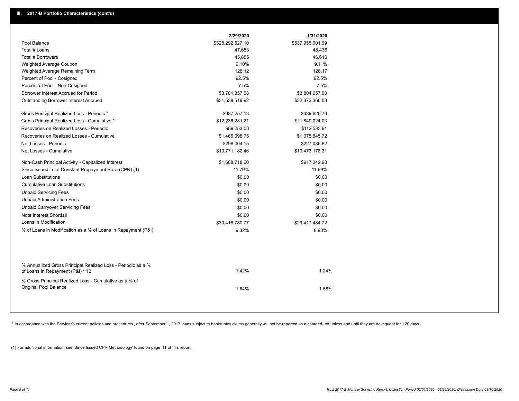|                                                                                                  | 2/29/2020        | 1/31/2020        |
|--------------------------------------------------------------------------------------------------|------------------|------------------|
| Pool Balance                                                                                     | \$528,292,527.10 | \$537,955,001.99 |
| Total # Loans                                                                                    | 47,653           | 48,436           |
| Total # Borrowers                                                                                | 45,855           | 46,610           |
| Weighted Average Coupon                                                                          | 9.10%            | 9.11%            |
| Weighted Average Remaining Term                                                                  | 128.12           | 128.17           |
| Percent of Pool - Cosigned                                                                       | 92.5%            | 92.5%            |
| Percent of Pool - Non Cosigned                                                                   | 7.5%             | 7.5%             |
| Borrower Interest Accrued for Period                                                             | \$3,701,357.58   | \$3,804,657.00   |
| Outstanding Borrower Interest Accrued                                                            | \$31,539,519.92  | \$32,372,366.03  |
| Gross Principal Realized Loss - Periodic *                                                       | \$387,257.18     | \$339,620.73     |
| Gross Principal Realized Loss - Cumulative *                                                     | \$12,236,281.21  | \$11,849,024.03  |
| Recoveries on Realized Losses - Periodic                                                         | \$89,253.03      | \$112,533.91     |
| Recoveries on Realized Losses - Cumulative                                                       | \$1,465,098.75   | \$1,375,845.72   |
| Net Losses - Periodic                                                                            | \$298,004.15     | \$227,086.82     |
| Net Losses - Cumulative                                                                          | \$10,771,182.46  | \$10,473,178.31  |
| Non-Cash Principal Activity - Capitalized Interest                                               | \$1,608,718.60   | \$917,242.90     |
| Since Issued Total Constant Prepayment Rate (CPR) (1)                                            | 11.79%           | 11.69%           |
| <b>Loan Substitutions</b>                                                                        | \$0.00           | \$0.00           |
| <b>Cumulative Loan Substitutions</b>                                                             | \$0.00           | \$0.00           |
| <b>Unpaid Servicing Fees</b>                                                                     | \$0.00           | \$0.00           |
| <b>Unpaid Administration Fees</b>                                                                | \$0.00           | \$0.00           |
| <b>Unpaid Carryover Servicing Fees</b>                                                           | \$0.00           | \$0.00           |
| Note Interest Shortfall                                                                          | \$0.00           | \$0.00           |
| Loans in Modification                                                                            | \$30,418,780.77  | \$29,417,484.72  |
| % of Loans in Modification as a % of Loans in Repayment (P&I)                                    | 9.32%            | 8.98%            |
|                                                                                                  |                  |                  |
| % Annualized Gross Principal Realized Loss - Periodic as a %<br>of Loans in Repayment (P&I) * 12 | 1.42%            | 1.24%            |
| % Gross Principal Realized Loss - Cumulative as a % of<br>Original Pool Balance                  | 1.64%            | 1.58%            |
|                                                                                                  |                  |                  |

\* In accordance with the Servicer's current policies and procedures, after September 1, 2017 loans subject to bankruptcy claims generally will not be reported as a charged- off unless and until they are delinquent for 120

(1) For additional information, see 'Since Issued CPR Methodology' found on page 11 of this report.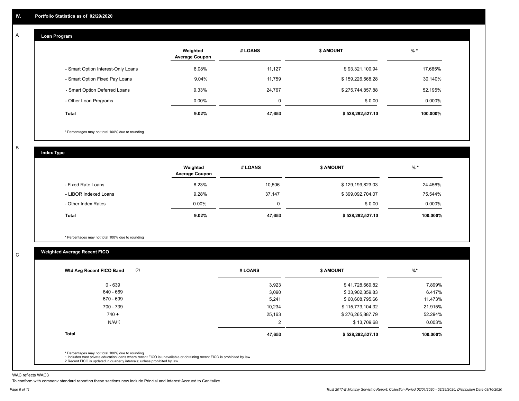#### **Loan Program**  A

|                                    | Weighted<br><b>Average Coupon</b> | # LOANS | <b>\$ AMOUNT</b> | $%$ *     |
|------------------------------------|-----------------------------------|---------|------------------|-----------|
| - Smart Option Interest-Only Loans | 8.08%                             | 11,127  | \$93,321,100.94  | 17.665%   |
| - Smart Option Fixed Pay Loans     | 9.04%                             | 11,759  | \$159,226,568.28 | 30.140%   |
| - Smart Option Deferred Loans      | 9.33%                             | 24.767  | \$275,744,857.88 | 52.195%   |
| - Other Loan Programs              | $0.00\%$                          | 0       | \$0.00           | $0.000\%$ |
| <b>Total</b>                       | 9.02%                             | 47,653  | \$528,292,527.10 | 100.000%  |

\* Percentages may not total 100% due to rounding

B

C

**Index Type**

|                       | Weighted<br><b>Average Coupon</b> | # LOANS | <b>\$ AMOUNT</b> | $%$ *     |
|-----------------------|-----------------------------------|---------|------------------|-----------|
| - Fixed Rate Loans    | 8.23%                             | 10,506  | \$129,199,823.03 | 24.456%   |
| - LIBOR Indexed Loans | 9.28%                             | 37,147  | \$399,092,704.07 | 75.544%   |
| - Other Index Rates   | $0.00\%$                          |         | \$0.00           | $0.000\%$ |
| <b>Total</b>          | 9.02%                             | 47,653  | \$528,292,527.10 | 100.000%  |

\* Percentages may not total 100% due to rounding

#### **Weighted Average Recent FICO**

| (2)<br>Wtd Avg Recent FICO Band | # LOANS | <b>\$ AMOUNT</b> | $%$ *    |
|---------------------------------|---------|------------------|----------|
| $0 - 639$                       | 3,923   | \$41,728,669.82  | 7.899%   |
| 640 - 669                       | 3,090   | \$33,902,359.83  | 6.417%   |
| 670 - 699                       | 5,241   | \$60,608,795.66  | 11.473%  |
| 700 - 739                       | 10,234  | \$115,773,104.32 | 21.915%  |
| $740 +$                         | 25,163  | \$276,265,887.79 | 52.294%  |
| N/A <sup>(1)</sup>              | 2       | \$13,709.68      | 0.003%   |
| <b>Total</b>                    | 47,653  | \$528,292,527.10 | 100.000% |
|                                 |         |                  |          |

WAC reflects WAC3

To conform with company standard reporting these sections now include Princial and Interest Accrued to Capitalize .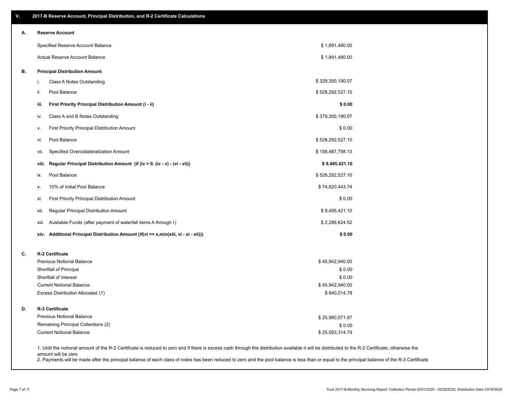| ۷. | 2017-B Reserve Account, Principal Distribution, and R-2 Certificate Calculations                                                                                                                                          |                  |  |
|----|---------------------------------------------------------------------------------------------------------------------------------------------------------------------------------------------------------------------------|------------------|--|
| А. | <b>Reserve Account</b>                                                                                                                                                                                                    |                  |  |
|    | Specified Reserve Account Balance                                                                                                                                                                                         | \$1,891,480.00   |  |
|    | Actual Reserve Account Balance                                                                                                                                                                                            | \$1,891,480.00   |  |
| В. | <b>Principal Distribution Amount</b>                                                                                                                                                                                      |                  |  |
|    | Class A Notes Outstanding<br>i.                                                                                                                                                                                           | \$329,300,190.07 |  |
|    | Pool Balance<br>ii.                                                                                                                                                                                                       | \$528,292,527.10 |  |
|    | First Priority Principal Distribution Amount (i - ii)<br>iii.                                                                                                                                                             | \$0.00           |  |
|    | Class A and B Notes Outstanding<br>iv.                                                                                                                                                                                    | \$379,300,190.07 |  |
|    | First Priority Principal Distribution Amount<br>v.                                                                                                                                                                        | \$0.00           |  |
|    | Pool Balance<br>vi.                                                                                                                                                                                                       | \$528,292,527.10 |  |
|    | Specified Overcollateralization Amount<br>vii.                                                                                                                                                                            | \$158,487,758.13 |  |
|    | Regular Principal Distribution Amount (if (iv > 0, (iv - v) - (vi - vii))<br>viii.                                                                                                                                        | \$9,495,421.10   |  |
|    | Pool Balance<br>ix.                                                                                                                                                                                                       | \$528,292,527.10 |  |
|    | 10% of Initial Pool Balance<br>х.                                                                                                                                                                                         | \$74,820,443.74  |  |
|    | First Priority Principal Distribution Amount<br>xi.                                                                                                                                                                       | \$0.00           |  |
|    | Regular Principal Distribution Amount<br>xii.                                                                                                                                                                             | \$9,495,421.10   |  |
|    | Available Funds (after payment of waterfall items A through I)<br>xiii.                                                                                                                                                   | \$2,286,624.52   |  |
|    | xiv. Additional Principal Distribution Amount (if(vi <= x,min(xiii, vi - xi - xii)))                                                                                                                                      | \$0.00           |  |
| C. | R-2 Certificate                                                                                                                                                                                                           |                  |  |
|    | <b>Previous Notional Balance</b>                                                                                                                                                                                          | \$45,942,940.00  |  |
|    | Shortfall of Principal                                                                                                                                                                                                    | \$0.00           |  |
|    | Shortfall of Interest                                                                                                                                                                                                     | \$0.00           |  |
|    | <b>Current Notional Balance</b>                                                                                                                                                                                           | \$45,942,940.00  |  |
|    | Excess Distribution Allocated (1)                                                                                                                                                                                         | \$640,014.78     |  |
| D. | R-3 Certificate                                                                                                                                                                                                           |                  |  |
|    | <b>Previous Notional Balance</b>                                                                                                                                                                                          | \$25,980,571.97  |  |
|    | Remaining Principal Collections (2)                                                                                                                                                                                       | \$0.00           |  |
|    | <b>Current Notional Balance</b>                                                                                                                                                                                           | \$25,593,314.79  |  |
|    | 1. Until the notional amount of the R-2 Certificate is reduced to zero and if there is excess cash through the distribution available it will be distributed to the R-2 Certificate, otherwise the<br>amount will be zero |                  |  |

2. Payments will be made after the principal balance of each class of notes has been reduced to zero and the pool balance is less than or equal to the principal balance of the R-3 Certificate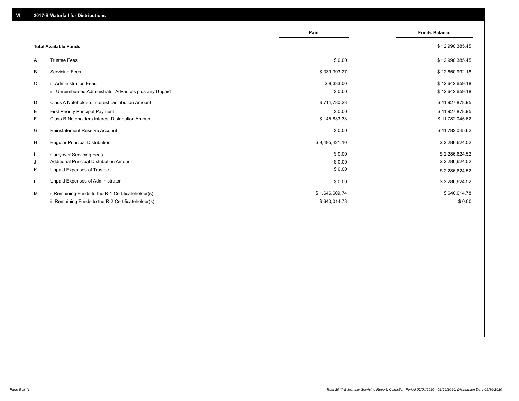|    |                                                         | Paid           | <b>Funds Balance</b> |
|----|---------------------------------------------------------|----------------|----------------------|
|    | <b>Total Available Funds</b>                            |                | \$12,990,385.45      |
| A  | <b>Trustee Fees</b>                                     | \$0.00         | \$12,990,385.45      |
| В  | <b>Servicing Fees</b>                                   | \$339,393.27   | \$12,650,992.18      |
| C  | i. Administration Fees                                  | \$8,333.00     | \$12,642,659.18      |
|    | ii. Unreimbursed Administrator Advances plus any Unpaid | \$0.00         | \$12,642,659.18      |
| D  | Class A Noteholders Interest Distribution Amount        | \$714,780.23   | \$11,927,878.95      |
| Е  | First Priority Principal Payment                        | \$0.00         | \$11,927,878.95      |
| F. | Class B Noteholders Interest Distribution Amount        | \$145,833.33   | \$11,782,045.62      |
| G  | <b>Reinstatement Reserve Account</b>                    | \$0.00         | \$11,782,045.62      |
| H  | Regular Principal Distribution                          | \$9,495,421.10 | \$2,286,624.52       |
|    | <b>Carryover Servicing Fees</b>                         | \$0.00         | \$2,286,624.52       |
| J  | Additional Principal Distribution Amount                | \$0.00         | \$2,286,624.52       |
| Κ  | Unpaid Expenses of Trustee                              | \$0.00         | \$2,286,624.52       |
|    | Unpaid Expenses of Administrator                        | \$0.00         | \$2,286,624.52       |
| м  | i. Remaining Funds to the R-1 Certificateholder(s)      | \$1,646,609.74 | \$640,014.78         |
|    | ii. Remaining Funds to the R-2 Certificateholder(s)     | \$640,014.78   | \$0.00               |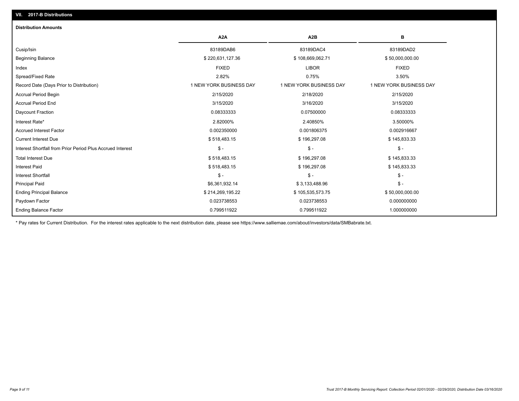## Ending Balance Factor Paydown Factor 0.023738553 0.023738553 0.000000000 Ending Principal Balance \$ 50,000,000.00 \$ 214,269,195.22 \$ 3214,269,195.22 \$ 50,000,000.00 \$ 50,000,000.00 Principal Paid \$6,361,932.14 \$ 3,133,488.96 \$ - Interest Shortfall \$ - \$ - \$ - Interest Paid **Secure 2.1 Accord 2.5 and 3.518,483.15** \$ 196,297.08 \$ 196,297.08 \$ 196,297.08 \$ 145,833.33 Total Interest Due \$ 196,297.08 \$ 196,297.08 \$ 196,297.08 \$ 196,297.08 \$ 196,297.08 \$ 196,297.08 Interest Shortfall from Prior Period Plus Accrued Interest \$ - \$ - \$ - Current Interest Due \$ 518,483.15 \$ 196,297.08 \$ 145,833.33 Accrued Interest Factor 0.002350000 0.001806375 0.002916667 Interest Rate\* 2.82000% 2.40850% 3.50000% Daycount Fraction 0.08333333 0.07500000 0.08333333 Accrual Period End 3/15/2020 3/16/2020 3/15/2020 Accrual Period Begin 2/15/2020 2/18/2020 2/15/2020 Record Date (Days Prior to Distribution) 1 1 NEW YORK BUSINESS DAY 1 NEW YORK BUSINESS DAY 1 NEW YORK BUSINESS DAY Spread/Fixed Rate 2.82% 0.75% 3.50% Index FIXED LIBOR FIXED Beginning Balance \$ 50,000,000.00 \$ \$ 50,000,000.00 \$ 220,631,127.36 \$ \$ 108,669,062.71 \$ \$ 50,000,000.00 \$ \$ 50,000,000.00 Cusip/Isin 83189DAB6 83189DAC4 83189DAD2 **A2A A2B B** 0.799511922 0.799511922 1.000000000 **Distribution Amounts**

\* Pay rates for Current Distribution. For the interest rates applicable to the next distribution date, please see https://www.salliemae.com/about/investors/data/SMBabrate.txt.

**VII. 2017-B Distributions**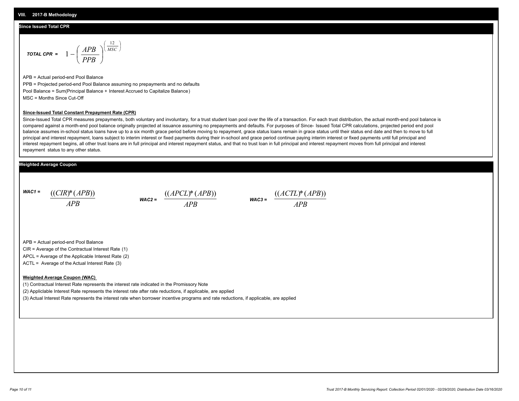#### **Since Issued Total CPR**

$$
\text{total CPR} = 1 - \left(\frac{APB}{PPB}\right)^{\left(\frac{12}{MSC}\right)}
$$

APB = Actual period-end Pool Balance PPB = Projected period-end Pool Balance assuming no prepayments and no defaults Pool Balance = Sum(Principal Balance + Interest Accrued to Capitalize Balance) MSC = Months Since Cut-Off

#### **Since-Issued Total Constant Prepayment Rate (CPR)**

Since-Issued Total CPR measures prepayments, both voluntary and involuntary, for a trust student loan pool over the life of a transaction. For each trust distribution, the actual month-end pool balance is compared against a month-end pool balance originally projected at issuance assuming no prepayments and defaults. For purposes of Since- Issued Total CPR calculations, projected period end pool balance assumes in-school status loans have up to a six month grace period before moving to repayment, grace status loans remain in grace status until their status end date and then to move to full principal and interest repayment, loans subject to interim interest or fixed payments during their in-school and grace period continue paying interim interest or fixed payments until full principal and interest repayment begins, all other trust loans are in full principal and interest repayment status, and that no trust loan in full principal and interest repayment moves from full principal and interest repayment status to any other status.

#### **Weighted Average Coupon**

*WAC1 = APB* ((*CIR*)\*(*APB*))

*WAC2 = APB*  $\frac{((APCL)^{*}(APB))}{APB}$  wac<sub>3</sub> =  $\frac{((ACTL)^{*}(A)P}{APB}$ 



APB = Actual period-end Pool Balance

CIR = Average of the Contractual Interest Rate (1)

APCL = Average of the Applicable Interest Rate (2)

ACTL = Average of the Actual Interest Rate (3)

#### **Weighted Average Coupon (WAC)**

(1) Contractual Interest Rate represents the interest rate indicated in the Promissory Note

(2) Appliclable Interest Rate represents the interest rate after rate reductions, if applicable, are applied

(3) Actual Interest Rate represents the interest rate when borrower incentive programs and rate reductions, if applicable, are applied